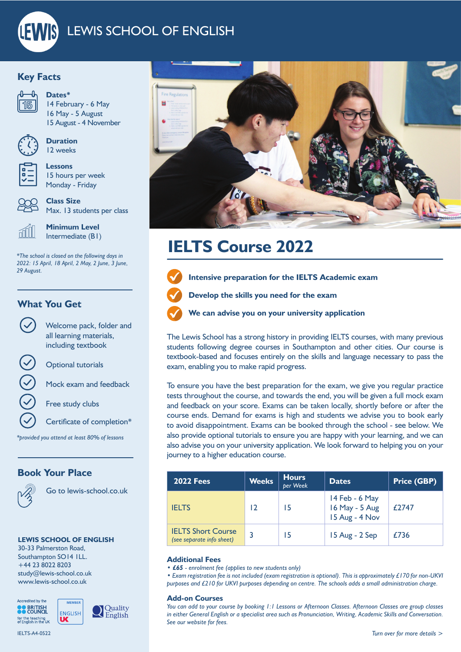

## **Key Facts**



**Dates\***

14 February - 6 May 16 May - 5 August 15 August - 4 November



**Duration** 12 weeks

**Lessons** 15 hours per week Monday - Friday



**Class Size** Max. 13 students per class



**Minimum Level** Intermediate (B1)

*\*The school is closed on the following days in 2022: 15 April, 18 April, 2 May, 2 June, 3 June, 29 August.* 

### **What You Get**

Welcome pack, folder and all learning materials, including textbook

Optional tutorials

Mock exam and feedback

Free study clubs

Certificate of completion\*

*\*provided you attend at least 80% of lessons*

### **Book Your Place**



Go to lewis-school.co.uk

Quality

English

### **LEWIS SCHOOL OF ENGLISH**

30-33 Palmerston Road, Southampton SO14 1LL. +44 23 8022 8203 study@lewis-school.co.uk www.lewis-school.co.uk



IELTS-A4-0522



# **IELTS Course 2022**



**Intensive preparation for the IELTS Academic exam**

**Develop the skills you need for the exam**



**We can advise you on your university application**

The Lewis School has a strong history in providing IELTS courses, with many previous students following degree courses in Southampton and other cities. Our course is textbook-based and focuses entirely on the skills and language necessary to pass the exam, enabling you to make rapid progress.

To ensure you have the best preparation for the exam, we give you regular practice tests throughout the course, and towards the end, you will be given a full mock exam and feedback on your score. Exams can be taken locally, shortly before or after the course ends. Demand for exams is high and students we advise you to book early to avoid disappointment. Exams can be booked through the school - see below. We also provide optional tutorials to ensure you are happy with your learning, and we can also advise you on your university application. We look forward to helping you on your journey to a higher education course.

| <b>2022 Fees</b>                                       | <b>Weeks</b> | Hours<br>per Week | <b>Dates</b>                                       | <b>Price (GBP)</b> |
|--------------------------------------------------------|--------------|-------------------|----------------------------------------------------|--------------------|
| <b>IELTS</b>                                           | רו           | 15                | 14 Feb - 6 May<br>16 May - 5 Aug<br>15 Aug - 4 Nov | £2747              |
| <b>IELTS Short Course</b><br>(see separate info sheet) | 3            | 15                | 15 Aug - 2 Sep                                     | £736               |

### **Additional Fees**

*• £65 - enrolment fee (applies to new students only)*

*• Exam registration fee is not included (exam registration is optional). This is approximately £170 for non-UKVI purposes and £210 for UKVI purposes depending on centre. The schools adds a small administration charge.*

#### **Add-on Courses**

*You can add to your course by booking 1:1 Lessons or Afternoon Classes. Afternoon Classes are group classes in either General English or a specialist area such as Pronunciation, Writing, Academic Skills and Conversation. See our website for fees.*